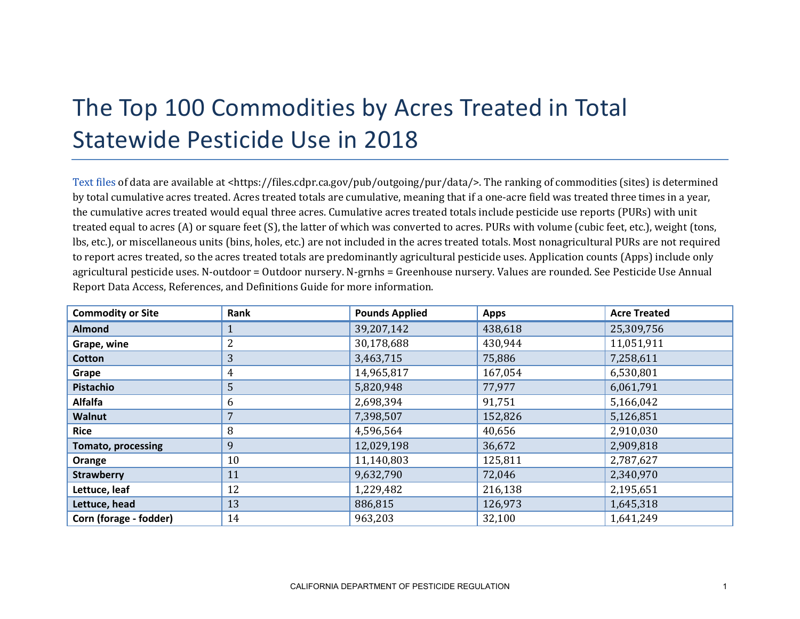## The Top 100 Commodities by Acres Treated in Total Statewide Pesticide Use in 2018

[Text files](https://files.cdpr.ca.gov/pub/outgoing/pur/data/) of data are available at <https://files.cdpr.ca.gov/pub/outgoing/pur/data/>. The ranking of commodities (sites) is determined by total cumulative acres treated. Acres treated totals are cumulative, meaning that if a one-acre field was treated three times in a year, the cumulative acres treated would equal three acres. Cumulative acres treated totals include pesticide use reports (PURs) with unit treated equal to acres (A) or square feet (S), the latter of which was converted to acres. PURs with volume (cubic feet, etc.), weight (tons, lbs, etc.), or miscellaneous units (bins, holes, etc.) are not included in the acres treated totals. Most nonagricultural PURs are not required to report acres treated, so the acres treated totals are predominantly agricultural pesticide uses. Application counts (Apps) include only agricultural pesticide uses. N-outdoor = Outdoor nursery. N-grnhs = Greenhouse nursery. Values are rounded. See Pesticide Use Annual Report Data Access, References, and Definitions Guide for more information.

| <b>Commodity or Site</b>  | Rank | <b>Pounds Applied</b> | <b>Apps</b> | <b>Acre Treated</b> |
|---------------------------|------|-----------------------|-------------|---------------------|
| <b>Almond</b>             | T    | 39,207,142            | 438,618     | 25,309,756          |
| Grape, wine               | 2    | 30,178,688            | 430,944     | 11,051,911          |
| Cotton                    | 3    | 3,463,715             | 75,886      | 7,258,611           |
| Grape                     | 4    | 14,965,817            | 167,054     | 6,530,801           |
| Pistachio                 | 5    | 5,820,948             | 77,977      | 6,061,791           |
| <b>Alfalfa</b>            | 6    | 2,698,394             | 91,751      | 5,166,042           |
| Walnut                    | 7    | 7,398,507             | 152,826     | 5,126,851           |
| <b>Rice</b>               | 8    | 4,596,564             | 40,656      | 2,910,030           |
| <b>Tomato, processing</b> | 9    | 12,029,198            | 36,672      | 2,909,818           |
| Orange                    | 10   | 11,140,803            | 125,811     | 2,787,627           |
| <b>Strawberry</b>         | 11   | 9,632,790             | 72,046      | 2,340,970           |
| Lettuce, leaf             | 12   | 1,229,482             | 216,138     | 2,195,651           |
| Lettuce, head             | 13   | 886,815               | 126,973     | 1,645,318           |
| Corn (forage - fodder)    | 14   | 963,203               | 32,100      | 1,641,249           |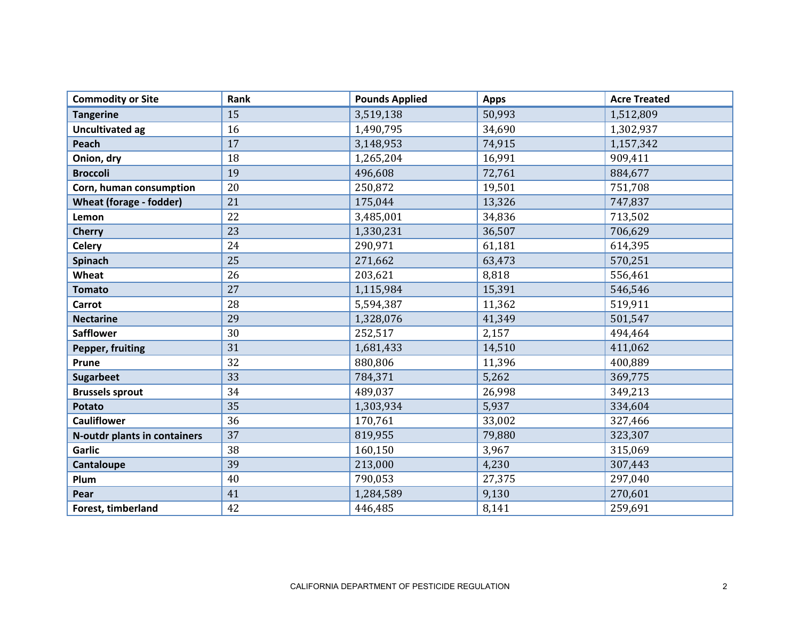| <b>Commodity or Site</b>     | Rank | <b>Pounds Applied</b> | <b>Apps</b> | <b>Acre Treated</b> |
|------------------------------|------|-----------------------|-------------|---------------------|
| <b>Tangerine</b>             | 15   | 3,519,138             | 50,993      | 1,512,809           |
| <b>Uncultivated ag</b>       | 16   | 1,490,795             | 34,690      | 1,302,937           |
| Peach                        | 17   | 3,148,953             | 74,915      | 1,157,342           |
| Onion, dry                   | 18   | 1,265,204             | 16,991      | 909,411             |
| <b>Broccoli</b>              | 19   | 496,608               | 72,761      | 884,677             |
| Corn, human consumption      | 20   | 250,872               | 19,501      | 751,708             |
| Wheat (forage - fodder)      | 21   | 175,044               | 13,326      | 747,837             |
| Lemon                        | 22   | 3,485,001             | 34,836      | 713,502             |
| <b>Cherry</b>                | 23   | 1,330,231             | 36,507      | 706,629             |
| <b>Celery</b>                | 24   | 290,971               | 61,181      | 614,395             |
| Spinach                      | 25   | 271,662               | 63,473      | 570,251             |
| Wheat                        | 26   | 203,621               | 8,818       | 556,461             |
| <b>Tomato</b>                | 27   | 1,115,984             | 15,391      | 546,546             |
| Carrot                       | 28   | 5,594,387             | 11,362      | 519,911             |
| <b>Nectarine</b>             | 29   | 1,328,076             | 41,349      | 501,547             |
| <b>Safflower</b>             | 30   | 252,517               | 2,157       | 494,464             |
| Pepper, fruiting             | 31   | 1,681,433             | 14,510      | 411,062             |
| Prune                        | 32   | 880,806               | 11,396      | 400,889             |
| <b>Sugarbeet</b>             | 33   | 784,371               | 5,262       | 369,775             |
| <b>Brussels sprout</b>       | 34   | 489,037               | 26,998      | 349,213             |
| <b>Potato</b>                | 35   | 1,303,934             | 5,937       | 334,604             |
| <b>Cauliflower</b>           | 36   | 170,761               | 33,002      | 327,466             |
| N-outdr plants in containers | 37   | 819,955               | 79,880      | 323,307             |
| <b>Garlic</b>                | 38   | 160,150               | 3,967       | 315,069             |
| Cantaloupe                   | 39   | 213,000               | 4,230       | 307,443             |
| Plum                         | 40   | 790,053               | 27,375      | 297,040             |
| Pear                         | 41   | 1,284,589             | 9,130       | 270,601             |
| Forest, timberland           | 42   | 446,485               | 8,141       | 259,691             |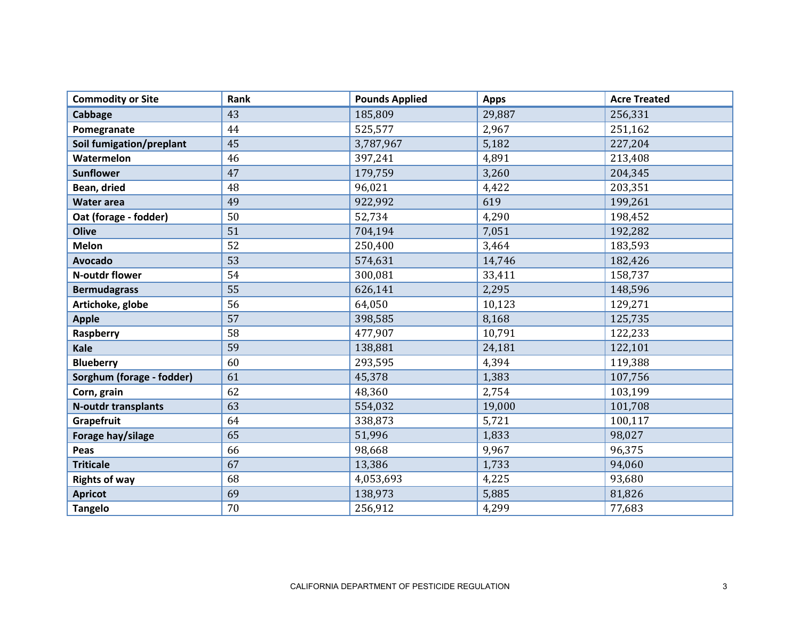| <b>Commodity or Site</b>   | Rank | <b>Pounds Applied</b> | <b>Apps</b> | <b>Acre Treated</b> |
|----------------------------|------|-----------------------|-------------|---------------------|
| <b>Cabbage</b>             | 43   | 185,809               | 29,887      | 256,331             |
| Pomegranate                | 44   | 525,577               | 2,967       | 251,162             |
| Soil fumigation/preplant   | 45   | 3,787,967             | 5,182       | 227,204             |
| Watermelon                 | 46   | 397,241               | 4,891       | 213,408             |
| <b>Sunflower</b>           | 47   | 179,759               | 3,260       | 204,345             |
| Bean, dried                | 48   | 96,021                | 4,422       | 203,351             |
| <b>Water area</b>          | 49   | 922,992               | 619         | 199,261             |
| Oat (forage - fodder)      | 50   | 52,734                | 4,290       | 198,452             |
| <b>Olive</b>               | 51   | 704,194               | 7,051       | 192,282             |
| <b>Melon</b>               | 52   | 250,400               | 3,464       | 183,593             |
| <b>Avocado</b>             | 53   | 574,631               | 14,746      | 182,426             |
| N-outdr flower             | 54   | 300,081               | 33,411      | 158,737             |
| <b>Bermudagrass</b>        | 55   | 626,141               | 2,295       | 148,596             |
| Artichoke, globe           | 56   | 64,050                | 10,123      | 129,271             |
| <b>Apple</b>               | 57   | 398,585               | 8,168       | 125,735             |
| Raspberry                  | 58   | 477,907               | 10,791      | 122,233             |
| Kale                       | 59   | 138,881               | 24,181      | 122,101             |
| <b>Blueberry</b>           | 60   | 293,595               | 4,394       | 119,388             |
| Sorghum (forage - fodder)  | 61   | 45,378                | 1,383       | 107,756             |
| Corn, grain                | 62   | 48,360                | 2,754       | 103,199             |
| <b>N-outdr transplants</b> | 63   | 554,032               | 19,000      | 101,708             |
| Grapefruit                 | 64   | 338,873               | 5,721       | 100,117             |
| Forage hay/silage          | 65   | 51,996                | 1,833       | 98,027              |
| Peas                       | 66   | 98,668                | 9,967       | 96,375              |
| <b>Triticale</b>           | 67   | 13,386                | 1,733       | 94,060              |
| <b>Rights of way</b>       | 68   | 4,053,693             | 4,225       | 93,680              |
| <b>Apricot</b>             | 69   | 138,973               | 5,885       | 81,826              |
| <b>Tangelo</b>             | 70   | 256,912               | 4,299       | 77,683              |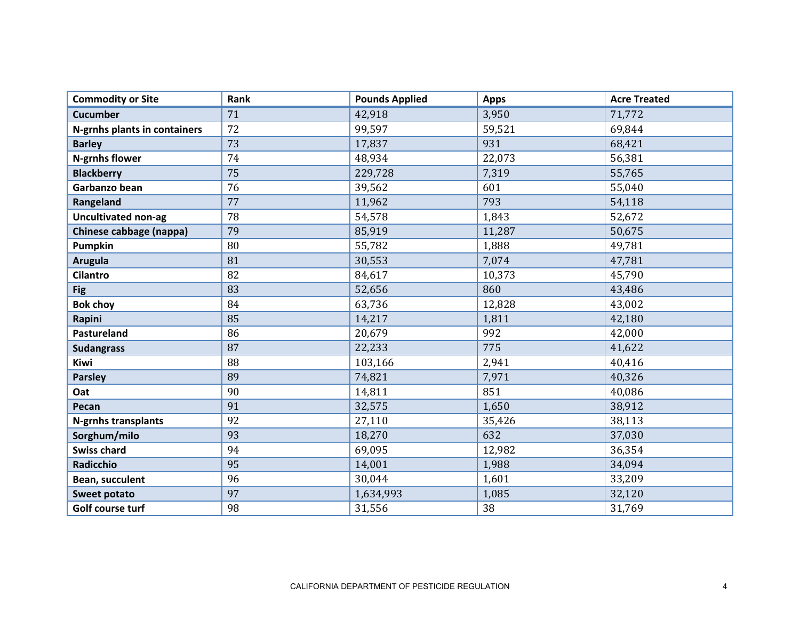| <b>Commodity or Site</b>     | Rank | <b>Pounds Applied</b> | <b>Apps</b> | <b>Acre Treated</b> |
|------------------------------|------|-----------------------|-------------|---------------------|
| <b>Cucumber</b>              | 71   | 42,918                | 3,950       | 71,772              |
| N-grnhs plants in containers | 72   | 99,597                | 59,521      | 69,844              |
| <b>Barley</b>                | 73   | 17,837                | 931         | 68,421              |
| N-grnhs flower               | 74   | 48,934                | 22,073      | 56,381              |
| <b>Blackberry</b>            | 75   | 229,728               | 7,319       | 55,765              |
| Garbanzo bean                | 76   | 39,562                | 601         | 55,040              |
| Rangeland                    | 77   | 11,962                | 793         | 54,118              |
| <b>Uncultivated non-ag</b>   | 78   | 54,578                | 1,843       | 52,672              |
| Chinese cabbage (nappa)      | 79   | 85,919                | 11,287      | 50,675              |
| Pumpkin                      | 80   | 55,782                | 1,888       | 49,781              |
| <b>Arugula</b>               | 81   | 30,553                | 7,074       | 47,781              |
| <b>Cilantro</b>              | 82   | 84,617                | 10,373      | 45,790              |
| <b>Fig</b>                   | 83   | 52,656                | 860         | 43,486              |
| <b>Bok choy</b>              | 84   | 63,736                | 12,828      | 43,002              |
| Rapini                       | 85   | 14,217                | 1,811       | 42,180              |
| Pastureland                  | 86   | 20,679                | 992         | 42,000              |
| <b>Sudangrass</b>            | 87   | 22,233                | 775         | 41,622              |
| Kiwi                         | 88   | 103,166               | 2,941       | 40,416              |
| <b>Parsley</b>               | 89   | 74,821                | 7,971       | 40,326              |
| Oat                          | 90   | 14,811                | 851         | 40,086              |
| Pecan                        | 91   | 32,575                | 1,650       | 38,912              |
| N-grnhs transplants          | 92   | 27,110                | 35,426      | 38,113              |
| Sorghum/milo                 | 93   | 18,270                | 632         | 37,030              |
| <b>Swiss chard</b>           | 94   | 69,095                | 12,982      | 36,354              |
| <b>Radicchio</b>             | 95   | 14,001                | 1,988       | 34,094              |
| Bean, succulent              | 96   | 30,044                | 1,601       | 33,209              |
| <b>Sweet potato</b>          | 97   | 1,634,993             | 1,085       | 32,120              |
| Golf course turf             | 98   | 31,556                | 38          | 31,769              |